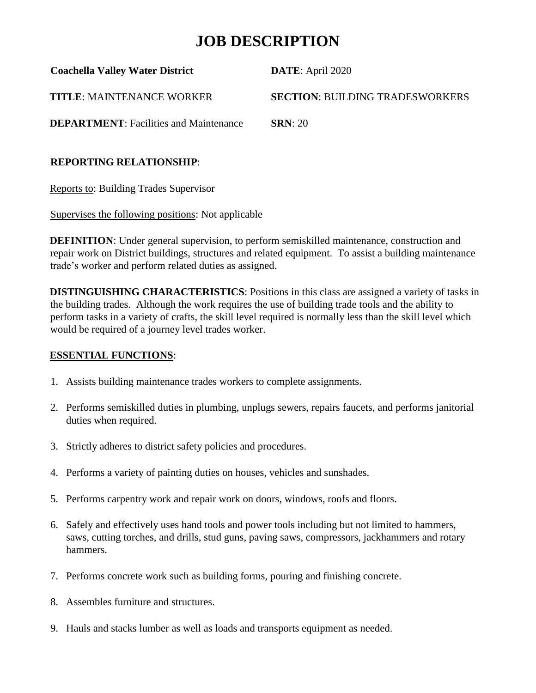# **JOB DESCRIPTION**

| <b>Coachella Valley Water District</b>        | <b>DATE:</b> April 2020                |
|-----------------------------------------------|----------------------------------------|
| <b>TITLE: MAINTENANCE WORKER</b>              | <b>SECTION: BUILDING TRADESWORKERS</b> |
| <b>DEPARTMENT:</b> Facilities and Maintenance | SRN: 20                                |

### **REPORTING RELATIONSHIP**:

Reports to: Building Trades Supervisor

Supervises the following positions: Not applicable

**DEFINITION**: Under general supervision, to perform semiskilled maintenance, construction and repair work on District buildings, structures and related equipment. To assist a building maintenance trade's worker and perform related duties as assigned.

**DISTINGUISHING CHARACTERISTICS**: Positions in this class are assigned a variety of tasks in the building trades. Although the work requires the use of building trade tools and the ability to perform tasks in a variety of crafts, the skill level required is normally less than the skill level which would be required of a journey level trades worker.

## **ESSENTIAL FUNCTIONS**:

- 1. Assists building maintenance trades workers to complete assignments.
- 2. Performs semiskilled duties in plumbing, unplugs sewers, repairs faucets, and performs janitorial duties when required.
- 3. Strictly adheres to district safety policies and procedures.
- 4. Performs a variety of painting duties on houses, vehicles and sunshades.
- 5. Performs carpentry work and repair work on doors, windows, roofs and floors.
- 6. Safely and effectively uses hand tools and power tools including but not limited to hammers, saws, cutting torches, and drills, stud guns, paving saws, compressors, jackhammers and rotary hammers.
- 7. Performs concrete work such as building forms, pouring and finishing concrete.
- 8. Assembles furniture and structures.
- 9. Hauls and stacks lumber as well as loads and transports equipment as needed.